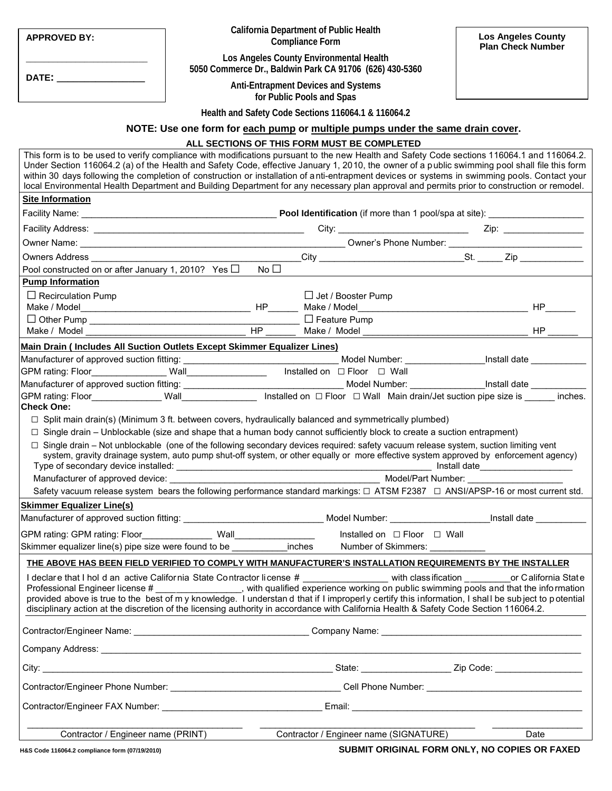| <b>APPROVED BY:</b>                                                                                                                                                                                                            | <b>California Department of Public Health</b><br><b>Compliance Form</b>                                                                                                                                                                                                                                                                                                                                                                                                                                                                                                                     | <b>Los Angeles County</b><br><b>Plan Check Number</b> |
|--------------------------------------------------------------------------------------------------------------------------------------------------------------------------------------------------------------------------------|---------------------------------------------------------------------------------------------------------------------------------------------------------------------------------------------------------------------------------------------------------------------------------------------------------------------------------------------------------------------------------------------------------------------------------------------------------------------------------------------------------------------------------------------------------------------------------------------|-------------------------------------------------------|
|                                                                                                                                                                                                                                | Los Angeles County Environmental Health<br>5050 Commerce Dr., Baldwin Park CA 91706 (626) 430-5360                                                                                                                                                                                                                                                                                                                                                                                                                                                                                          |                                                       |
| DATE: the contract of the contract of the contract of the contract of the contract of the contract of the contract of the contract of the contract of the contract of the contract of the contract of the contract of the cont | <b>Anti-Entrapment Devices and Systems</b><br>for Public Pools and Spas                                                                                                                                                                                                                                                                                                                                                                                                                                                                                                                     |                                                       |
|                                                                                                                                                                                                                                | Health and Safety Code Sections 116064.1 & 116064.2                                                                                                                                                                                                                                                                                                                                                                                                                                                                                                                                         |                                                       |
|                                                                                                                                                                                                                                | NOTE: Use one form for each pump or multiple pumps under the same drain cover.                                                                                                                                                                                                                                                                                                                                                                                                                                                                                                              |                                                       |
|                                                                                                                                                                                                                                | ALL SECTIONS OF THIS FORM MUST BE COMPLETED                                                                                                                                                                                                                                                                                                                                                                                                                                                                                                                                                 |                                                       |
|                                                                                                                                                                                                                                | This form is to be used to verify compliance with modifications pursuant to the new Health and Safety Code sections 116064.1 and 116064.2.<br>Under Section 116064.2 (a) of the Health and Safety Code, effective January 1, 2010, the owner of a public swimming pool shall file this form<br>within 30 days following the completion of construction or installation of anti-entrapment devices or systems in swimming pools. Contact your<br>local Environmental Health Department and Building Department for any necessary plan approval and permits prior to construction or remodel. |                                                       |
| <b>Site Information</b>                                                                                                                                                                                                        |                                                                                                                                                                                                                                                                                                                                                                                                                                                                                                                                                                                             |                                                       |
|                                                                                                                                                                                                                                |                                                                                                                                                                                                                                                                                                                                                                                                                                                                                                                                                                                             |                                                       |
|                                                                                                                                                                                                                                |                                                                                                                                                                                                                                                                                                                                                                                                                                                                                                                                                                                             |                                                       |
|                                                                                                                                                                                                                                |                                                                                                                                                                                                                                                                                                                                                                                                                                                                                                                                                                                             |                                                       |
|                                                                                                                                                                                                                                |                                                                                                                                                                                                                                                                                                                                                                                                                                                                                                                                                                                             |                                                       |
| Pool constructed on or after January 1, 2010? Yes $\Box$<br><b>Pump Information</b>                                                                                                                                            | No $\square$                                                                                                                                                                                                                                                                                                                                                                                                                                                                                                                                                                                |                                                       |
| $\Box$ Recirculation Pump                                                                                                                                                                                                      | $\Box$ Jet / Booster Pump                                                                                                                                                                                                                                                                                                                                                                                                                                                                                                                                                                   |                                                       |
|                                                                                                                                                                                                                                |                                                                                                                                                                                                                                                                                                                                                                                                                                                                                                                                                                                             |                                                       |
|                                                                                                                                                                                                                                |                                                                                                                                                                                                                                                                                                                                                                                                                                                                                                                                                                                             |                                                       |
|                                                                                                                                                                                                                                |                                                                                                                                                                                                                                                                                                                                                                                                                                                                                                                                                                                             | $HP$ <sub>---</sub>                                   |
| Main Drain (Includes All Suction Outlets Except Skimmer Equalizer Lines)                                                                                                                                                       |                                                                                                                                                                                                                                                                                                                                                                                                                                                                                                                                                                                             |                                                       |
|                                                                                                                                                                                                                                |                                                                                                                                                                                                                                                                                                                                                                                                                                                                                                                                                                                             |                                                       |
|                                                                                                                                                                                                                                |                                                                                                                                                                                                                                                                                                                                                                                                                                                                                                                                                                                             |                                                       |
|                                                                                                                                                                                                                                |                                                                                                                                                                                                                                                                                                                                                                                                                                                                                                                                                                                             |                                                       |
| <b>Check One:</b>                                                                                                                                                                                                              |                                                                                                                                                                                                                                                                                                                                                                                                                                                                                                                                                                                             |                                                       |
|                                                                                                                                                                                                                                | $\Box$ Split main drain(s) (Minimum 3 ft. between covers, hydraulically balanced and symmetrically plumbed)                                                                                                                                                                                                                                                                                                                                                                                                                                                                                 |                                                       |
|                                                                                                                                                                                                                                | $\Box$ Single drain – Unblockable (size and shape that a human body cannot sufficiently block to create a suction entrapment)                                                                                                                                                                                                                                                                                                                                                                                                                                                               |                                                       |
|                                                                                                                                                                                                                                | □ Single drain – Not unblockable (one of the following secondary devices required: safety vacuum release system, suction limiting vent<br>system, gravity drainage system, auto pump shut-off system, or other equally or more effective system approved by enforcement agency)                                                                                                                                                                                                                                                                                                             |                                                       |
| Manufacturer of approved device:                                                                                                                                                                                               |                                                                                                                                                                                                                                                                                                                                                                                                                                                                                                                                                                                             |                                                       |
|                                                                                                                                                                                                                                | Safety vacuum release system bears the following performance standard markings: □ ATSM F2387 □ ANSI/APSP-16 or most current std.                                                                                                                                                                                                                                                                                                                                                                                                                                                            |                                                       |
| <b>Skimmer Equalizer Line(s)</b>                                                                                                                                                                                               |                                                                                                                                                                                                                                                                                                                                                                                                                                                                                                                                                                                             |                                                       |
|                                                                                                                                                                                                                                |                                                                                                                                                                                                                                                                                                                                                                                                                                                                                                                                                                                             |                                                       |
|                                                                                                                                                                                                                                | Installed on □ Floor □ Wall                                                                                                                                                                                                                                                                                                                                                                                                                                                                                                                                                                 |                                                       |
|                                                                                                                                                                                                                                | Skimmer equalizer line(s) pipe size were found to be ___________inches Number of Skimmers: _________                                                                                                                                                                                                                                                                                                                                                                                                                                                                                        |                                                       |
|                                                                                                                                                                                                                                | THE ABOVE HAS BEEN FIELD VERIFIED TO COMPLY WITH MANUFACTURER'S INSTALLATION REQUIREMENTS BY THE INSTALLER                                                                                                                                                                                                                                                                                                                                                                                                                                                                                  |                                                       |
|                                                                                                                                                                                                                                | I declare that I hol d an active California State Contractor license # ___________________ with class ification ___________or California State<br>Professional Engineer license # ______________, with qualified experience working on public swimming pools and that the information<br>provided above is true to the best of my knowledge. I understand that if I improperly certify this information, I shall be subject to potential                                                                                                                                                    |                                                       |
|                                                                                                                                                                                                                                | disciplinary action at the discretion of the licensing authority in accordance with California Health & Safety Code Section 116064.2.                                                                                                                                                                                                                                                                                                                                                                                                                                                       |                                                       |
|                                                                                                                                                                                                                                |                                                                                                                                                                                                                                                                                                                                                                                                                                                                                                                                                                                             |                                                       |
|                                                                                                                                                                                                                                |                                                                                                                                                                                                                                                                                                                                                                                                                                                                                                                                                                                             |                                                       |
|                                                                                                                                                                                                                                |                                                                                                                                                                                                                                                                                                                                                                                                                                                                                                                                                                                             |                                                       |
|                                                                                                                                                                                                                                |                                                                                                                                                                                                                                                                                                                                                                                                                                                                                                                                                                                             |                                                       |
|                                                                                                                                                                                                                                | Contractor/Engineer FAX Number: _________________________________Email: ____________________________                                                                                                                                                                                                                                                                                                                                                                                                                                                                                        |                                                       |
|                                                                                                                                                                                                                                |                                                                                                                                                                                                                                                                                                                                                                                                                                                                                                                                                                                             |                                                       |
| Contractor / Engineer name (PRINT)                                                                                                                                                                                             | Contractor / Engineer name (SIGNATURE)                                                                                                                                                                                                                                                                                                                                                                                                                                                                                                                                                      | Date                                                  |